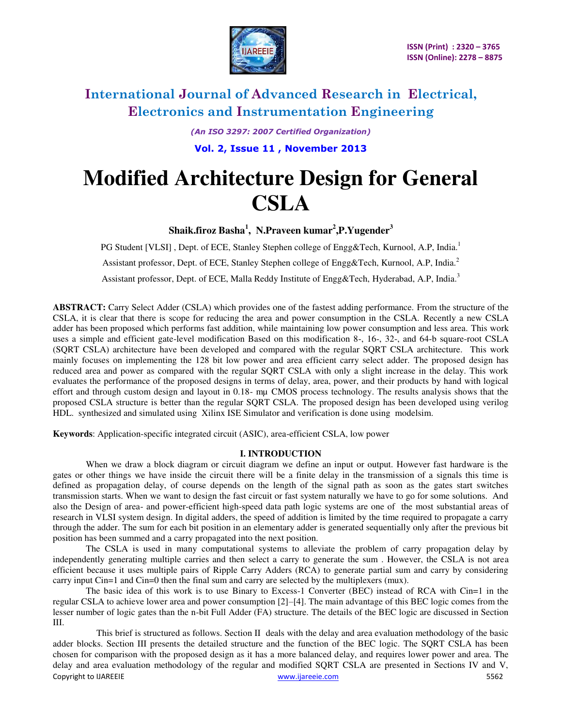

*(An ISO 3297: 2007 Certified Organization)* 

**Vol. 2, Issue 11 , November 2013** 

# **Modified Architecture Design for General CSLA**

**Shaik.firoz Basha<sup>1</sup> , N.Praveen kumar<sup>2</sup> ,P.Yugender<sup>3</sup>**

PG Student [VLSI], Dept. of ECE, Stanley Stephen college of Engg&Tech, Kurnool, A.P, India.<sup>1</sup> Assistant professor, Dept. of ECE, Stanley Stephen college of Engg&Tech, Kurnool, A.P, India.<sup>2</sup> Assistant professor, Dept. of ECE, Malla Reddy Institute of Engg&Tech, Hyderabad, A.P., India.<sup>3</sup>

**ABSTRACT:** Carry Select Adder (CSLA) which provides one of the fastest adding performance. From the structure of the CSLA, it is clear that there is scope for reducing the area and power consumption in the CSLA. Recently a new CSLA adder has been proposed which performs fast addition, while maintaining low power consumption and less area. This work uses a simple and efficient gate-level modification Based on this modification 8-, 16-, 32-, and 64-b square-root CSLA (SQRT CSLA) architecture have been developed and compared with the regular SQRT CSLA architecture. This work mainly focuses on implementing the 128 bit low power and area efficient carry select adder. The proposed design has reduced area and power as compared with the regular SQRT CSLA with only a slight increase in the delay. This work evaluates the performance of the proposed designs in terms of delay, area, power, and their products by hand with logical effort and through custom design and layout in 0.18- mµ CMOS process technology. The results analysis shows that the proposed CSLA structure is better than the regular SQRT CSLA. The proposed design has been developed using verilog HDL. synthesized and simulated using Xilinx ISE Simulator and verification is done using modelsim.

**Keywords**: Application-specific integrated circuit (ASIC), area-efficient CSLA, low power

## **I. INTRODUCTION**

 When we draw a block diagram or circuit diagram we define an input or output. However fast hardware is the gates or other things we have inside the circuit there will be a finite delay in the transmission of a signals this time is defined as propagation delay, of course depends on the length of the signal path as soon as the gates start switches transmission starts. When we want to design the fast circuit or fast system naturally we have to go for some solutions. And also the Design of area- and power-efficient high-speed data path logic systems are one of the most substantial areas of research in VLSI system design. In digital adders, the speed of addition is limited by the time required to propagate a carry through the adder. The sum for each bit position in an elementary adder is generated sequentially only after the previous bit position has been summed and a carry propagated into the next position.

The CSLA is used in many computational systems to alleviate the problem of carry propagation delay by independently generating multiple carries and then select a carry to generate the sum . However, the CSLA is not area efficient because it uses multiple pairs of Ripple Carry Adders (RCA) to generate partial sum and carry by considering carry input Cin=1 and Cin=0 then the final sum and carry are selected by the multiplexers (mux).

The basic idea of this work is to use Binary to Excess-1 Converter (BEC) instead of RCA with Cin=1 in the regular CSLA to achieve lower area and power consumption [2]–[4]. The main advantage of this BEC logic comes from the lesser number of logic gates than the n-bit Full Adder (FA) structure. The details of the BEC logic are discussed in Section III.

Copyright to IJAREEIE www.ijareeie.com 5562 This brief is structured as follows. Section II deals with the delay and area evaluation methodology of the basic adder blocks. Section III presents the detailed structure and the function of the BEC logic. The SQRT CSLA has been chosen for comparison with the proposed design as it has a more balanced delay, and requires lower power and area. The delay and area evaluation methodology of the regular and modified SQRT CSLA are presented in Sections IV and V,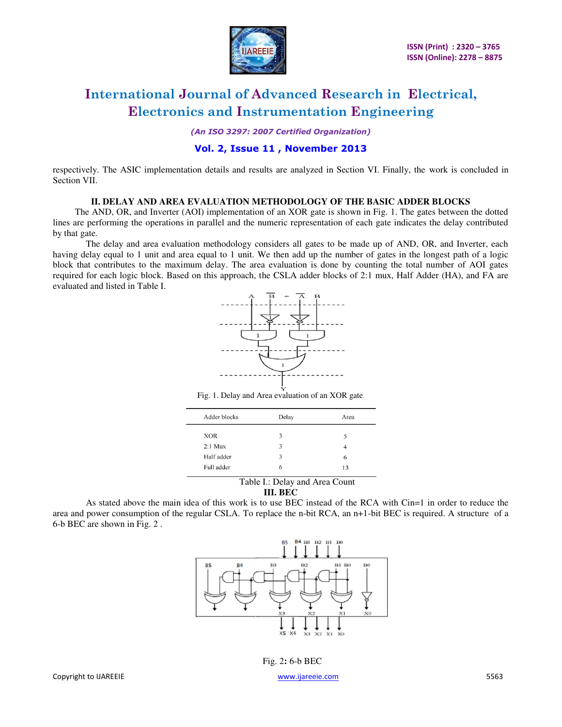

*(An ISO 3297: 2007 Certified Organization)* 

## **Vol. 2, Issue 11 , November 2013**

respectively. The ASIC implementation details and results are analyzed in Section VI. Finally, the work is concluded in Section VII.

### **II. DELAY AND AREA EVALUATION METHODOLOGY OF THE BASIC ADDER BLOCKS**

 The AND, OR, and Inverter (AOI) implementation of an XOR gate is shown in Fig. 1. The gates between the dotted lines are performing the operations in parallel and the numeric representation of each gate indicates the delay contributed by that gate.

The delay and area evaluation methodology considers all gates to be made up of AND, OR, and Inverter, each having delay equal to 1 unit and area equal to 1 unit. We then add up the number of gates in the longest path of a logic block that contributes to the maximum delay. The area evaluation is done by counting the total number of AOI gates required for each logic block. Based on this approach, the CSLA adder blocks of 2:1 mux, Half Adder (HA), and FA are evaluated and listed in Table I.



Fig. 1. Delay and Area evaluation of an XOR gate.

| Adder blocks | Delay | Area |
|--------------|-------|------|
| <b>XOR</b>   | 3     | 5    |
| $2:1$ Mux    | 3     |      |
| Half adder   | 3     | 6    |
| Full adder   | 6     | 13   |

# Table I.: Delay and Area Count

### **III. BEC**

As stated above the main idea of this work is to use BEC instead of the RCA with Cin=1 in order to reduce the area and power consumption of the regular CSLA. To replace the n-bit RCA, an n+1-bit BEC is required. A structure of a 6-b BEC are shown in Fig. 2 .



Fig. 2**:** 6-b BEC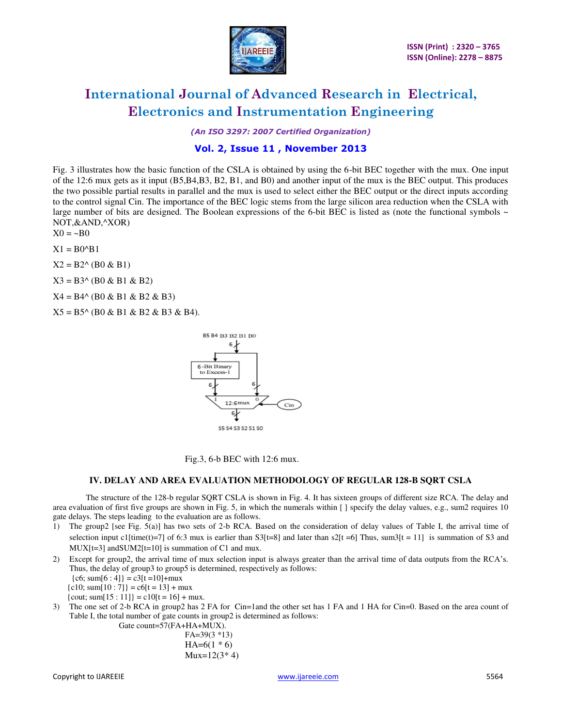

*(An ISO 3297: 2007 Certified Organization)* 

# **Vol. 2, Issue 11 , November 2013**

Fig. 3 illustrates how the basic function of the CSLA is obtained by using the 6-bit BEC together with the mux. One input of the 12:6 mux gets as it input (B5,B4,B3, B2, B1, and B0) and another input of the mux is the BEC output. This produces the two possible partial results in parallel and the mux is used to select either the BEC output or the direct inputs according to the control signal Cin. The importance of the BEC logic stems from the large silicon area reduction when the CSLA with large number of bits are designed. The Boolean expressions of the 6-bit BEC is listed as (note the functional symbols  $\sim$ NOT,&AND,^XOR)

 $X0 = -B0$ 

 $X1 = B0^{\wedge}B1$ 

 $X2 = B2^{\wedge} (B0 \& B1)$ 

 $X3 = B3^{\circ}$  (B0 & B1 & B2)

 $X4 = B4^{\circ}$  (B0 & B1 & B2 & B3)

 $X5 = B5^{\wedge} (B0 \& B1 \& B2 \& B3 \& B4).$ 



Fig.3, 6-b BEC with 12:6 mux.

#### **IV. DELAY AND AREA EVALUATION METHODOLOGY OF REGULAR 128-B SQRT CSLA**

The structure of the 128-b regular SQRT CSLA is shown in Fig. 4. It has sixteen groups of different size RCA. The delay and area evaluation of first five groups are shown in Fig. 5, in which the numerals within [ ] specify the delay values, e.g., sum2 requires 10 gate delays. The steps leading to the evaluation are as follows.

- 1) The group2 [see Fig. 5(a)] has two sets of 2-b RCA. Based on the consideration of delay values of Table I, the arrival time of selection input c1[time(t)=7] of 6:3 mux is earlier than S3[t=8] and later than s2[t =6] Thus, sum3[t = 11] is summation of S3 and MUX[t=3] and SUM2[t=10] is summation of C1 and mux.
- 2) Except for group2, the arrival time of mux selection input is always greater than the arrival time of data outputs from the RCA's. Thus, the delay of group3 to group5 is determined, respectively as follows:  ${c6; sum[6:4]} = c3[t=10]+*mu*x$  ${c10; sum[10:7]} = c6[t = 13] + max$

{cout; sum[15 : 11]} = c10[t = 16] + mux.

- 
- 3) The one set of 2-b RCA in group2 has 2 FA for Cin=1and the other set has 1 FA and 1 HA for Cin=0. Based on the area count of Table I, the total number of gate counts in group2 is determined as follows: Gate count=57(FA+HA+MUX).

 FA=39(3 \*13)  $HA=6(1 * 6)$  $Mux=12(3*4)$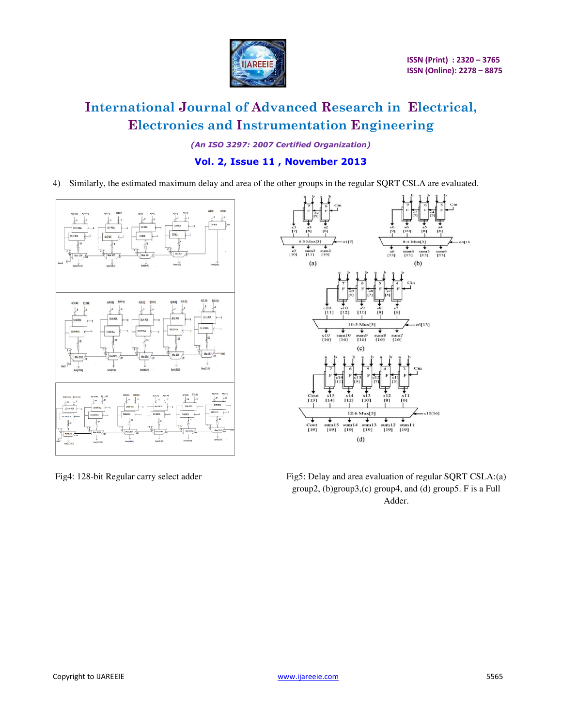

*(An ISO 3297: 2007 Certified Organization)* 

# **Vol. 2, Issue 11 , November 2013**

4) Similarly, the estimated maximum delay and area of the other groups in the regular SQRT CSLA are evaluated.





Fig4: 128-bit Regular carry select adder Fig5: Delay and area evaluation of regular SQRT CSLA:(a) group2, (b)group3,(c) group4, and (d) group5. F is a Full Adder.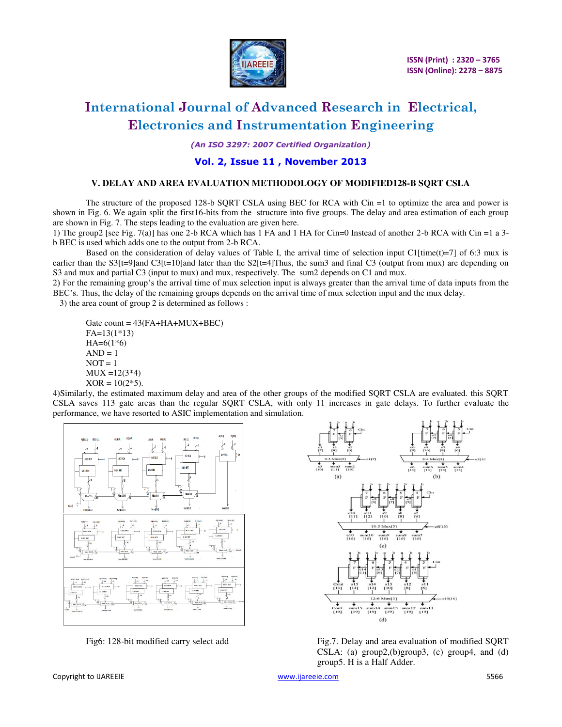

*(An ISO 3297: 2007 Certified Organization)* 

# **Vol. 2, Issue 11 , November 2013**

#### **V. DELAY AND AREA EVALUATION METHODOLOGY OF MODIFIED128-B SQRT CSLA**

The structure of the proposed 128-b SQRT CSLA using BEC for RCA with Cin =1 to optimize the area and power is shown in Fig. 6. We again split the first16-bits from the structure into five groups. The delay and area estimation of each group are shown in Fig. 7. The steps leading to the evaluation are given here.

1) The group2 [see Fig. 7(a)] has one 2-b RCA which has 1 FA and 1 HA for Cin=0 Instead of another 2-b RCA with Cin =1 a 3 b BEC is used which adds one to the output from 2-b RCA.

Based on the consideration of delay values of Table I, the arrival time of selection input C1[time(t)=7] of 6:3 mux is earlier than the S3[t=9]and C3[t=10]and later than the S2[t=4]Thus, the sum3 and final C3 (output from mux) are depending on S3 and mux and partial C3 (input to mux) and mux, respectively. The sum2 depends on C1 and mux.

2) For the remaining group's the arrival time of mux selection input is always greater than the arrival time of data inputs from the BEC's. Thus, the delay of the remaining groups depends on the arrival time of mux selection input and the mux delay.

3) the area count of group 2 is determined as follows :

Gate count =  $43$ (FA+HA+MUX+BEC) FA=13(1\*13)  $HA=6(1*6)$  $AND = 1$  $NOT = 1$  $MUX = 12(3*4)$  $XOR = 10(2*5)$ .

4)Similarly, the estimated maximum delay and area of the other groups of the modified SQRT CSLA are evaluated. this SQRT CSLA saves 113 gate areas than the regular SQRT CSLA, with only 11 increases in gate delays. To further evaluate the performance, we have resorted to ASIC implementation and simulation.





Fig6: 128-bit modified carry select add Fig.7. Delay and area evaluation of modified SQRT CSLA: (a) group2,(b)group3, (c) group4, and (d) group5. H is a Half Adder.

Copyright to IJAREEIE www.ijareeie.com 5566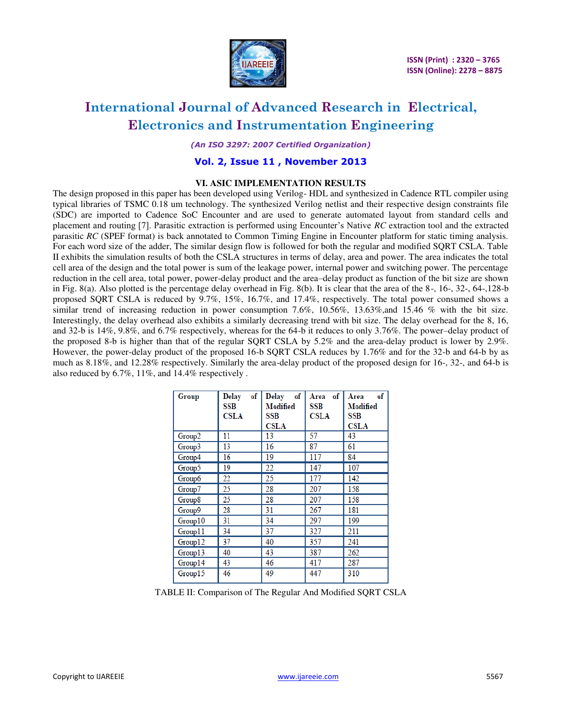

*(An ISO 3297: 2007 Certified Organization)* 

## **Vol. 2, Issue 11 , November 2013**

### **VI. ASIC IMPLEMENTATION RESULTS**

The design proposed in this paper has been developed using Verilog- HDL and synthesized in Cadence RTL compiler using typical libraries of TSMC 0.18 um technology. The synthesized Verilog netlist and their respective design constraints file (SDC) are imported to Cadence SoC Encounter and are used to generate automated layout from standard cells and placement and routing [7]. Parasitic extraction is performed using Encounter's Native *RC* extraction tool and the extracted parasitic *RC* (SPEF format) is back annotated to Common Timing Engine in Encounter platform for static timing analysis. For each word size of the adder, The similar design flow is followed for both the regular and modified SQRT CSLA. Table II exhibits the simulation results of both the CSLA structures in terms of delay, area and power. The area indicates the total cell area of the design and the total power is sum of the leakage power, internal power and switching power. The percentage reduction in the cell area, total power, power-delay product and the area–delay product as function of the bit size are shown in Fig. 8(a). Also plotted is the percentage delay overhead in Fig. 8(b). It is clear that the area of the 8-, 16-, 32-, 64-,128-b proposed SQRT CSLA is reduced by 9.7%, 15%, 16.7%, and 17.4%, respectively. The total power consumed shows a similar trend of increasing reduction in power consumption 7.6%, 10.56%, 13.63%, and 15.46 % with the bit size. Interestingly, the delay overhead also exhibits a similarly decreasing trend with bit size. The delay overhead for the 8, 16, and 32-b is 14%, 9.8%, and 6.7% respectively, whereas for the 64-b it reduces to only 3.76%. The power–delay product of the proposed 8-b is higher than that of the regular SQRT CSLA by 5.2% and the area-delay product is lower by 2.9%. However, the power-delay product of the proposed 16-b SQRT CSLA reduces by 1.76% and for the 32-b and 64-b by as much as 8.18%, and 12.28% respectively. Similarly the area-delay product of the proposed design for 16-, 32-, and 64-b is also reduced by 6.7%, 11%, and 14.4% respectively .

| Group   | of<br>Delay<br>SSB<br><b>CSLA</b> | of<br><b>Delay</b><br>Modified<br>SSB | of<br>Area<br>SSB<br><b>CSLA</b> | of<br>Area<br>Modified<br>SSB |
|---------|-----------------------------------|---------------------------------------|----------------------------------|-------------------------------|
|         | 11                                | <b>CSLA</b><br>13                     | 57                               | <b>CSLA</b><br>43             |
| Group2  |                                   |                                       |                                  |                               |
| Group3  | 13                                | 16                                    | 87                               | 61                            |
| Group4  | 16                                | 19                                    | 117                              | 84                            |
| Group5  | 19                                | 22                                    | 147                              | 107                           |
| Group6  | 22                                | 25                                    | 177                              | 142                           |
| Group7  | 25                                | 28                                    | 207                              | 158                           |
| Group8  | 25                                | 28                                    | 207                              | 158                           |
| Group9  | 28                                | 31                                    | 267                              | 181                           |
| Group10 | 31                                | 34                                    | 297                              | 199                           |
| Group11 | 34                                | 37                                    | 327                              | 211                           |
| Group12 | 37                                | 40                                    | 357                              | 241                           |
| Group13 | 40                                | 43                                    | 387                              | 262                           |
| Group14 | 43                                | 46                                    | 417                              | 287                           |
| Group15 | 46                                | 49                                    | 447                              | 310                           |

TABLE II: Comparison of The Regular And Modified SQRT CSLA